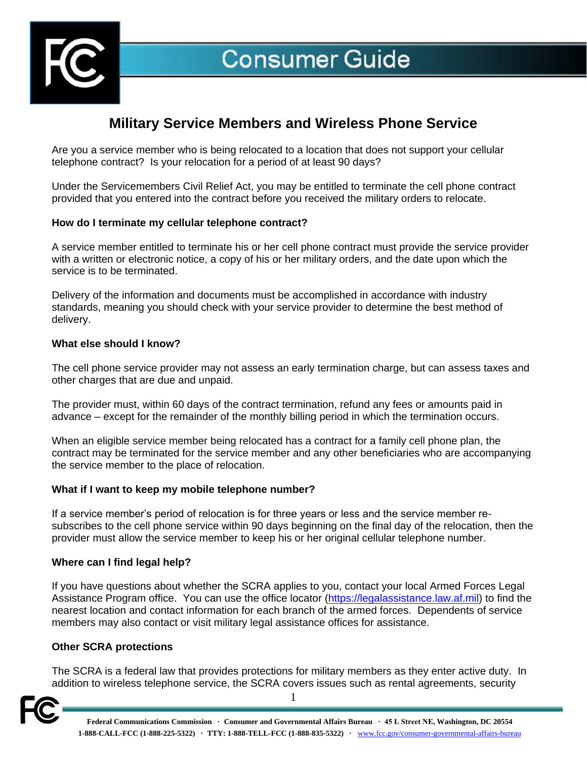

# **Military Service Members and Wireless Phone Service**

Are you a service member who is being relocated to a location that does not support your cellular telephone contract? Is your relocation for a period of at least 90 days?

Under the Servicemembers Civil Relief Act, you may be entitled to terminate the cell phone contract provided that you entered into the contract before you received the military orders to relocate.

# **How do I terminate my cellular telephone contract?**

A service member entitled to terminate his or her cell phone contract must provide the service provider with a written or electronic notice, a copy of his or her military orders, and the date upon which the service is to be terminated.

Delivery of the information and documents must be accomplished in accordance with industry standards, meaning you should check with your service provider to determine the best method of delivery.

# **What else should I know?**

The cell phone service provider may not assess an early termination charge, but can assess taxes and other charges that are due and unpaid.

The provider must, within 60 days of the contract termination, refund any fees or amounts paid in advance – except for the remainder of the monthly billing period in which the termination occurs.

When an eligible service member being relocated has a contract for a family cell phone plan, the contract may be terminated for the service member and any other beneficiaries who are accompanying the service member to the place of relocation.

# **What if I want to keep my mobile telephone number?**

If a service member's period of relocation is for three years or less and the service member resubscribes to the cell phone service within 90 days beginning on the final day of the relocation, then the provider must allow the service member to keep his or her original cellular telephone number.

# **Where can I find legal help?**

If you have questions about whether the SCRA applies to you, contact your local Armed Forces Legal Assistance Program office. You can use the office locator [\(https://legalassistance.law.af.mil\)](https://legalassistance.law.af.mil/) to find the nearest location and contact information for each branch of the armed forces. Dependents of service members may also contact or visit military legal assistance offices for assistance.

# **Other SCRA protections**

The SCRA is a federal law that provides protections for military members as they enter active duty. In addition to wireless telephone service, the SCRA covers issues such as rental agreements, security



1